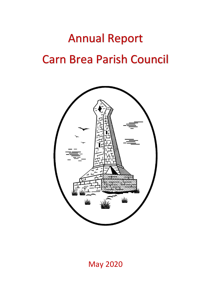# Annual Report Carn Brea Parish Council



May 2020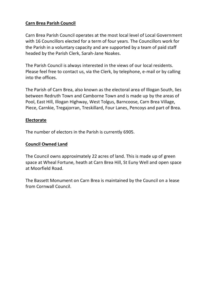#### **Carn Brea Parish Council**

Carn Brea Parish Council operates at the most local level of Local Government with 16 Councillors elected for a term of four years. The Councillors work for the Parish in a voluntary capacity and are supported by a team of paid staff headed by the Parish Clerk, Sarah-Jane Noakes.

The Parish Council is always interested in the views of our local residents. Please feel free to contact us, via the Clerk, by telephone, e-mail or by calling into the offices.

The Parish of Carn Brea, also known as the electoral area of Illogan South, lies between Redruth Town and Camborne Town and is made up by the areas of Pool, East Hill, Illogan Highway, West Tolgus, Barncoose, Carn Brea Village, Piece, Carnkie, Tregajorran, Treskillard, Four Lanes, Pencoys and part of Brea.

#### **Electorate**

The number of electors in the Parish is currently 6905.

#### **Council Owned Land**

The Council owns approximately 22 acres of land. This is made up of green space at Wheal Fortune, heath at Carn Brea Hill, St Euny Well and open space at Moorfield Road.

The Bassett Monument on Carn Brea is maintained by the Council on a lease from Cornwall Council.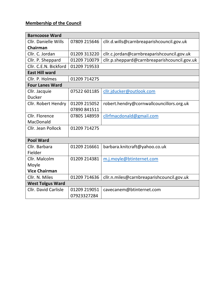# **Membership of the Council**

| <b>Barncoose Ward</b>       |              |                                              |
|-----------------------------|--------------|----------------------------------------------|
| <b>Cllr. Danielle Wills</b> | 07809 215646 | cllr.d.wills@carnbreaparishcouncil.gov.uk    |
| Chairman                    |              |                                              |
| Cllr. C. Jordan             | 01209 313220 | cllr.c.jordan@carnbreaparishcouncil.gov.uk   |
| Cllr. P. Sheppard           | 01209 710079 | cllr.p.sheppard@carnbreaparishcouncil.gov.uk |
| Cllr. C.E.N. Bickford       | 01209 719533 |                                              |
| <b>East Hill ward</b>       |              |                                              |
| Cllr. P. Holmes             | 01209 714275 |                                              |
| <b>Four Lanes Ward</b>      |              |                                              |
| Cllr. Jacquie               | 07522 601185 | cllr.jducker@outlook.com                     |
| <b>Ducker</b>               |              |                                              |
| <b>Cllr. Robert Hendry</b>  | 01209 215052 | robert.hendry@cornwallcouncillors.org.uk     |
|                             | 07890 841511 |                                              |
| Cllr. Florence              | 07805 148959 | cllrfmacdonald@gmail.com                     |
| MacDonald                   |              |                                              |
| Cllr. Jean Pollock          | 01209 714275 |                                              |
|                             |              |                                              |
| <b>Pool Ward</b>            |              |                                              |
| Cllr. Barbara               | 01209 216661 | barbara.knitcraft@yahoo.co.uk                |
| Fielder                     |              |                                              |
| Cllr. Malcolm               | 01209 214381 | m.j.moyle@btinternet.com                     |
| Moyle                       |              |                                              |
| <b>Vice Chairman</b>        |              |                                              |
| Cllr. N. Miles              | 01209 714636 | cllr.n.miles@carnbreaparishcouncil.gov.uk    |
| <b>West Tolgus Ward</b>     |              |                                              |
| <b>Cllr. David Carlisle</b> | 01209 219051 | cavecanem@btinternet.com                     |
|                             | 07923327284  |                                              |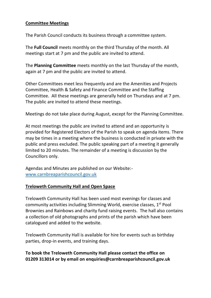#### **Committee Meetings**

The Parish Council conducts its business through a committee system.

The **Full Council** meets monthly on the third Thursday of the month. All meetings start at 7 pm and the public are invited to attend.

The **Planning Committee** meets monthly on the last Thursday of the month, again at 7 pm and the public are invited to attend.

Other Committees meet less frequently and are the Amenities and Projects Committee, Health & Safety and Finance Committee and the Staffing Committee. All these meetings are generally held on Thursdays and at 7 pm. The public are invited to attend these meetings.

Meetings do not take place during August, except for the Planning Committee.

At most meetings the public are invited to attend and an opportunity is provided for Registered Electors of the Parish to speak on agenda items. There may be times in a meeting where the business is conducted in private with the public and press excluded. The public speaking part of a meeting it generally limited to 20 minutes. The remainder of a meeting is discussion by the Councillors only.

Agendas and Minutes are published on our Website: [www.carnbreaparishcouncil.gov.uk](http://www.carnbreaparishcouncil.gov.uk/)

#### **Treloweth Community Hall and Open Space**

Treloweth Community Hall has been used most evenings for classes and community activities including Slimming World, exercise classes, 1<sup>st</sup> Pool Brownies and Rainbows and charity fund raising events. The hall also contains a collection of old photographs and prints of the parish which have been catalogued and added to the website.

Treloweth Community Hall is available for hire for events such as birthday parties, drop-in events, and training days.

#### **To book the Treloweth Community Hall please contact the office on 01209 313014 or by email on enquiries@carnbreaparishcouncil.gov.uk**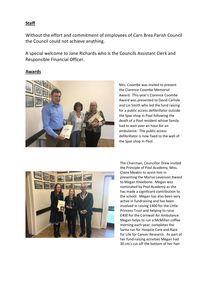#### **Staff**

Without the effort and commitment of employees of Carn Brea Parish Council the Council could not achieve anything.

A special welcome to Jane Richards who is the Councils Assistant Clerk and Responsible Financial Officer.

#### **Awards**



Mrs. Coombe was invited to present the Clarence Coombe Memorial Award. This year's Clarence Coombe Award was presented to David Carlisle and Lin Smith who led the fund raising for a public access defibrillator outside the Spar shop in Pool following the death of a Pool resident whose family had to wait over an hour for an ambulance. The public access defibrillator is now fixed to the wall of the Spar shop in Pool.



The Chairman, Councillor Drew invited the Principle of Pool Academy, Miss. Claire Meakin to assist him in presenting the Marise Levenson Award to Megan Kneebone. Megan was nominated by Pool Academy as she has made a significant contribution to the school. Megan has also been very active in fundraising and has been involved in raising £400 for the Little Princess Trust and helping to raise £400 for the Cornwall Air Ambulance. Megan helps to run a McMillan coffee morning each year, completes the Santa run for Hospice Care and Race for Life for Cancer Research. As part of her fund-raising activities Megan had 30 cm's cut off the bottom of her hair.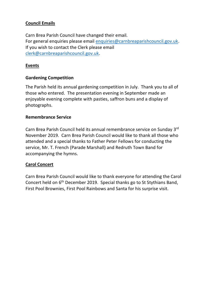### **Council Emails**

Carn Brea Parish Council have changed their email. For general enquiries please email [enquiries@carnbreaparishcouncil.gov.uk.](mailto:enquiries@carnbreaparishcouncil.gov.uk) If you wish to contact the Clerk please email [clerk@carnbreaparishcouncil.gov.uk.](mailto:clerk@carnbreaparishcouncil.gov.uk)

### **Events**

### **Gardening Competition**

The Parish held its annual gardening competition in July. Thank you to all of those who entered. The presentation evening in September made an enjoyable evening complete with pasties, saffron buns and a display of photographs.

#### **Remembrance Service**

Carn Brea Parish Council held its annual remembrance service on Sunday 3<sup>rd</sup> November 2019. Carn Brea Parish Council would like to thank all those who attended and a special thanks to Father Peter Fellows for conducting the service, Mr. T. French (Parade Marshall) and Redruth Town Band for accompanying the hymns.

### **Carol Concert**

Carn Brea Parish Council would like to thank everyone for attending the Carol Concert held on 6th December 2019. Special thanks go to St Stythians Band, First Pool Brownies, First Pool Rainbows and Santa for his surprise visit.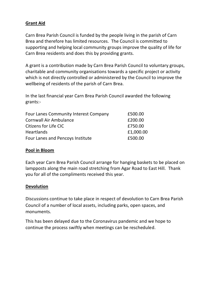#### **Grant Aid**

Carn Brea Parish Council is funded by the people living in the parish of Carn Brea and therefore has limited resources. The Council is committed to supporting and helping local community groups improve the quality of life for Carn Brea residents and does this by providing grants.

A grant is a contribution made by Carn Brea Parish Council to voluntary groups, charitable and community organisations towards a specific project or activity which is not directly controlled or administered by the Council to improve the wellbeing of residents of the parish of Carn Brea.

In the last financial year Carn Brea Parish Council awarded the following grants:-

| <b>Four Lanes Community Interest Company</b> | £500.00   |
|----------------------------------------------|-----------|
| <b>Cornwall Air Ambulance</b>                | £200.00   |
| Citizens for Life CIC                        | £750.00   |
| <b>Heartlands</b>                            | £1,000.00 |
| Four Lanes and Pencoys Institute             | £500.00   |

#### **Pool in Bloom**

Each year Carn Brea Parish Council arrange for hanging baskets to be placed on lampposts along the main road stretching from Agar Road to East Hill. Thank you for all of the compliments received this year.

#### **Devolution**

Discussions continue to take place in respect of devolution to Carn Brea Parish Council of a number of local assets, including parks, open spaces, and monuments.

This has been delayed due to the Coronavirus pandemic and we hope to continue the process swiftly when meetings can be rescheduled.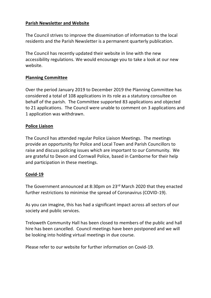#### **Parish Newsletter and Website**

The Council strives to improve the dissemination of information to the local residents and the Parish Newsletter is a permanent quarterly publication.

The Council has recently updated their website in line with the new accessibility regulations. We would encourage you to take a look at our new website.

#### **Planning Committee**

Over the period January 2019 to December 2019 the Planning Committee has considered a total of 108 applications in its role as a statutory consultee on behalf of the parish. The Committee supported 83 applications and objected to 21 applications. The Council were unable to comment on 3 applications and 1 application was withdrawn.

#### **Police Liaison**

The Council has attended regular Police Liaison Meetings. The meetings provide an opportunity for Police and Local Town and Parish Councillors to raise and discuss policing issues which are important to our Community. We are grateful to Devon and Cornwall Police, based in Camborne for their help and participation in these meetings.

#### **Covid-19**

The Government announced at 8:30pm on 23rd March 2020 that they enacted further restrictions to minimise the spread of Coronavirus (COVID-19).

As you can imagine, this has had a significant impact across all sectors of our society and public services.

Treloweth Community Hall has been closed to members of the public and hall hire has been cancelled. Council meetings have been postponed and we will be looking into holding virtual meetings in due course.

Please refer to our website for further information on Covid-19.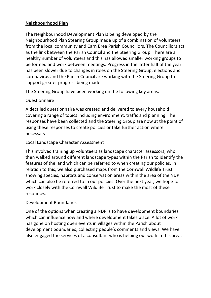### **Neighbourhood Plan**

The Neighbourhood Development Plan is being developed by the Neighbourhood Plan Steering Group made up of a combination of volunteers from the local community and Carn Brea Parish Councillors. The Councillors act as the link between the Parish Council and the Steering Group. There are a healthy number of volunteers and this has allowed smaller working groups to be formed and work between meetings. Progress in the latter half of the year has been slower due to changes in roles on the Steering Group, elections and coronavirus and the Parish Council are working with the Steering Group to support greater progress being made.

The Steering Group have been working on the following key areas:

### Questionnaire

A detailed questionnaire was created and delivered to every household covering a range of topics including environment, traffic and planning. The responses have been collected and the Steering Group are now at the point of using these responses to create policies or take further action where necessary.

### Local Landscape Character Assessment

This involved training up volunteers as landscape character assessors, who then walked around different landscape types within the Parish to identify the features of the land which can be referred to when creating our policies. In relation to this, we also purchased maps from the Cornwall Wildlife Trust showing species, habitats and conservation areas within the area of the NDP which can also be referred to in our policies. Over the next year, we hope to work closely with the Cornwall Wildlife Trust to make the most of these resources.

### Development Boundaries

One of the options when creating a NDP is to have development boundaries which can influence how and where development takes place. A lot of work has gone on hosting open events in villages within the Parish about development boundaries, collecting people's comments and views. We have also engaged the services of a consultant who is helping our work in this area.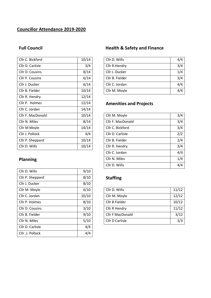# **Councillor Attendance 2019-2020**

| Cllr C. Bickford  | 10/14 |
|-------------------|-------|
| Cllr D. Carlisle  | 3/4   |
| Cllr D. Cousins   | 8/14  |
| Cllr P. Cousins   | 6/14  |
| Cllr J. Ducker    | 6/14  |
| Cllr B. Fielder   | 10/14 |
| Cllr R. Hendry    | 12/14 |
| Cllr P. Holmes    | 12/14 |
| Cllr C. Jordan    | 14/14 |
| Cllr F. MacDonald | 10/14 |
| Cllr N. Miles     | 8/14  |
| Cllr M Moyle      | 14/14 |
| Cllr J. Pollock   | 4/4   |
| Cllr P. Sheppard  | 10/14 |
| Cllr D. Wills     | 10/14 |

# **Planning**

| Cllr D. Wills    | 9/10  |
|------------------|-------|
| Cllr P. Sheppard | 8/10  |
| Cllr J. Ducker   | 8/10  |
| Cllr M. Moyle    | 6/10  |
| Cllr C. Jordan   | 10/10 |
| Cllr P. Holmes   | 8/10  |
| Cllr D. Cousins  | 3/10  |
| Cllr B. Fielder  | 9/10  |
| Cllr N. Miles    | 5/10  |
| Cllr D. Carlisle | 4/4   |
| Cllr. J. Pollock | 4/4   |

## Full Council **Full Council Health & Safety and Finance**

| Cllr C. Bickford | 10/14 | Cllr D. Wills   | 4/4 |
|------------------|-------|-----------------|-----|
| Cllr D. Carlisle | 3/4   | Cllr R.Hendry   | 3/4 |
| Cllr D. Cousins  | 8/14  | Cllr J. Ducker  | 1/4 |
| Cllr P. Cousins  | 6/14  | Cllr B. Fielder | 3/4 |
| Cllr J. Ducker   | 6/14  | Cllr C. Jordan  | 4/4 |
| Cllr B. Fielder  | 10/14 | Cllr M. Moyle   | 4/4 |

# **Amenities and Projects**

| Cllr F. MacDonald | 10/14                     | Cllr M. Moyle     | 3/4 |
|-------------------|---------------------------|-------------------|-----|
| Cllr N. Miles     | 8/14                      | Cllr F. MacDonald | 3/4 |
| Cllr M Moyle      | 14/14<br>Cllr C. Bickford |                   | 3/4 |
| Cllr J. Pollock   | 4/4                       | Cllr D. Carlisle  | 2/2 |
| Cllr P. Sheppard  | 10/14                     | Cllr B. Fielder   | 2/4 |
| Cllr D. Wills     | 10/14                     | Cllr R. Hendry    | 3/4 |
|                   |                           | Cllr C. Jordan    | 4/4 |
| <b>Planning</b>   |                           | Cllr N. Miles     | 1/4 |
|                   |                           | Cllr D. Wills     | 4/4 |

# Staffing

| Cllr M. Moyle   | 6/10  | Cllr D. Wills    | 11/12 |
|-----------------|-------|------------------|-------|
| Cllr C. Jordan  | 10/10 | Cllr M. Moyle    | 12/12 |
| Cllr P. Holmes  | 8/10  | Cllr B Fielder   | 10/12 |
| Cllr D. Cousins | 3/10  | Cllr R Hendry    | 11/12 |
| Cllr B. Fielder | 9/10  | Cllr F MacDonald | 3/12  |
| Cllr N. Miles   | 5/10  | Cllr D Carlisle  | 3/3   |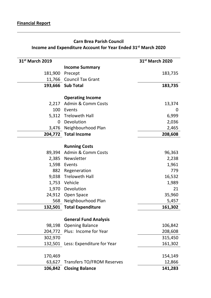# **Carn Brea Parish Council Income and Expenditure Account for Year Ended 31st March 2020**

| 31st March 2019 |                                   | 31 <sup>st</sup> March 2020 |
|-----------------|-----------------------------------|-----------------------------|
|                 | <b>Income Summary</b>             |                             |
| 181,900         | Precept                           | 183,735                     |
|                 | 11,766 Council Tax Grant          |                             |
|                 | 193,666 Sub Total                 | 183,735                     |
|                 |                                   |                             |
|                 | <b>Operating Income</b>           |                             |
|                 | 2,217 Admin & Comm Costs          | 13,374                      |
| 100             | Events                            | 0                           |
|                 | 5,312 Treloweth Hall              | 6,999                       |
| $\mathbf{0}$    | Devolution                        | 2,036                       |
|                 | 3,476 Neighbourhood Plan          | 2,465                       |
|                 | 204,772 Total Income              | 208,608                     |
|                 | <b>Running Costs</b>              |                             |
| 89,394          | <b>Admin &amp; Comm Costs</b>     |                             |
|                 |                                   | 96,363                      |
| 2,385           | Newsletter                        | 2,238                       |
|                 | 1,598 Events                      | 1,961                       |
| 882             | Regeneration                      | 779                         |
|                 | 9,038 Treloweth Hall              | 16,532                      |
|                 | 1,753 Vehicle                     | 1,989                       |
| 1,970           | Devolution                        | 21                          |
|                 | 24,912 Open Space                 | 35,960                      |
| 568             | Neighbourhood Plan                | 5,457                       |
|                 | 132,501 Total Expenditure         | 161,302                     |
|                 | <b>General Fund Analysis</b>      |                             |
| 98,198          | <b>Opening Balance</b>            | 106,842                     |
| 204,772         | Plus: Income for Year             | 208,608                     |
| 302,970         |                                   | 315,450                     |
| 132,501         | Less: Expenditure for Year        | 161,302                     |
|                 |                                   |                             |
| 170,469         |                                   | 154,149                     |
| 63,627          | <b>Transfers TO/FROM Reserves</b> | 12,866                      |
| 106,842         | <b>Closing Balance</b>            | 141,283                     |